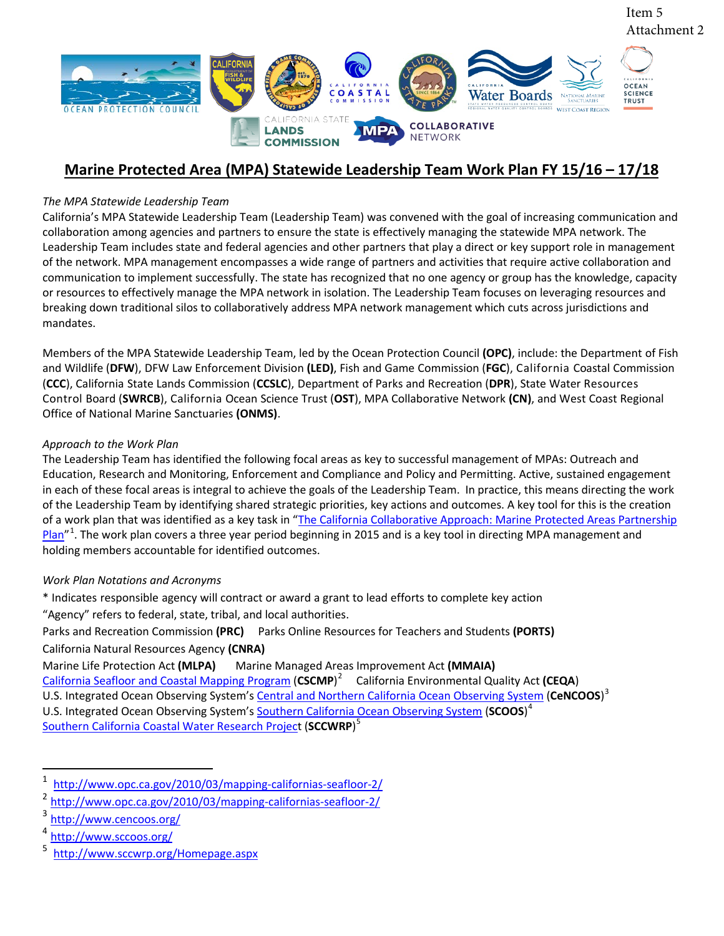

#### **Marine Protected Area (MPA) Statewide Leadership Team Work Plan FY 15/16 – 17/18**

#### *The MPA Statewide Leadership Team*

California's MPA Statewide Leadership Team (Leadership Team) was convened with the goal of increasing communication and collaboration among agencies and partners to ensure the state is effectively managing the statewide MPA network. The Leadership Team includes state and federal agencies and other partners that play a direct or key support role in management of the network. MPA management encompasses a wide range of partners and activities that require active collaboration and communication to implement successfully. The state has recognized that no one agency or group has the knowledge, capacity or resources to effectively manage the MPA network in isolation. The Leadership Team focuses on leveraging resources and breaking down traditional silos to collaboratively address MPA network management which cuts across jurisdictions and mandates.

Members of the MPA Statewide Leadership Team, led by the Ocean Protection Council **(OPC)**, include: the Department of Fish and Wildlife (**DFW**), DFW Law Enforcement Division **(LED)**, Fish and Game Commission (**FGC**), California Coastal Commission (**CCC**), California State Lands Commission (**CCSLC**), Department of Parks and Recreation (**DPR**), State Water Resources Control Board (**SWRCB**), California Ocean Science Trust (**OST**), MPA Collaborative Network **(CN)**, and West Coast Regional Office of National Marine Sanctuaries **(ONMS)**.

#### *Approach to the Work Plan*

The Leadership Team has identified the following focal areas as key to successful management of MPAs: Outreach and Education, Research and Monitoring, Enforcement and Compliance and Policy and Permitting. Active, sustained engagement in each of these focal areas is integral to achieve the goals of the Leadership Team. In practice, this means directing the work of the Leadership Team by identifying shared strategic priorities, key actions and outcomes. A key tool for this is the creation of a work plan that was identified as a key task in "The California Collaborative Approach: Marine Protected Areas Partnership [Plan"](http://www.opc.ca.gov/2014/12/adopted-final-version-of-the-california-collaborative-approach-marine-protected-areas-partnership-plan/)<sup>[1](#page-0-0)</sup>. The work plan covers a three year period beginning in 2015 and is a key tool in directing MPA management and holding members accountable for identified outcomes.

#### *Work Plan Notations and Acronyms*

- \* Indicates responsible agency will contract or award a grant to lead efforts to complete key action "Agency" refers to federal, state, tribal, and local authorities.
- Parks and Recreation Commission **(PRC)** Parks Online Resources for Teachers and Students **(PORTS)**  California Natural Resources Agency **(CNRA)**

Marine Life Protection Act **(MLPA)** Marine Managed Areas Improvement Act **(MMAIA)**

[California Seafloor and Coastal Mapping Program](http://www.opc.ca.gov/2010/03/mapping-californias-seafloor-2/) (**CSCMP**) [2](#page-0-1) California Environmental Quality Act **(CEQA**) U.S. Integrated Ocean Observing System's Central and Northern California Ocean Observing System</u> (CeNCOOS)<sup>[3](#page-0-2)</sup> U.S. Integrated Ocean Observing System'[s Southern California Ocean Observing System](http://www.sccoos.org/) (**SCOOS**) [4](#page-0-3) [Southern California Coastal Water Research Project](http://www.sccwrp.org/Homepage.aspx) (**SCCWRP**) [5](#page-0-4)

<span id="page-0-0"></span> $\frac{1}{2}$  <http://www.opc.ca.gov/2010/03/mapping-californias-seafloor-2/>

<span id="page-0-1"></span> $\frac{2 \text{ http://www.opc.ca.gov/2010/03/mapping-califormias-seafloor-2)}}{4}$ 

<span id="page-0-2"></span><http://www.cencoos.org/>

<span id="page-0-4"></span><span id="page-0-3"></span><http://www.sccoos.org/>

<sup>5</sup> [http://www.sccwrp.org/Homepage.aspx](http://www.sccwrp.org/Homepage.aspxhttp:/www.sccwrp.org/researchareas/RegionalMonitoring/Bight13RegionalMonitoring.aspx)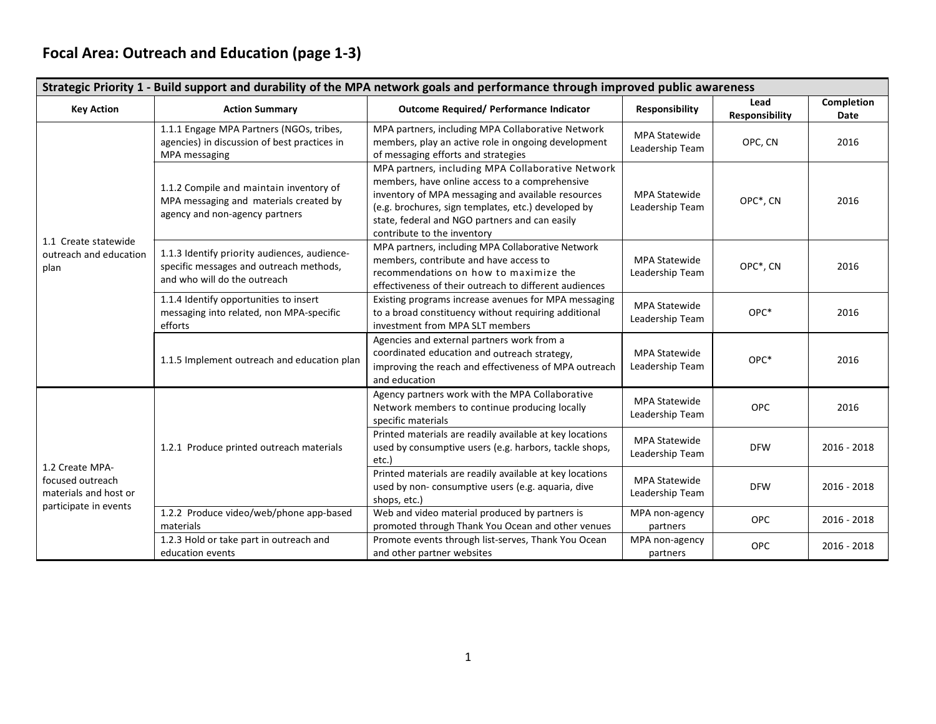# **Focal Area: Outreach and Education (page 1-3)**

| Strategic Priority 1 - Build support and durability of the MPA network goals and performance through improved public awareness |                                                                                                                         |                                                                                                                                                                                                                                                                                                   |                                         |                        |                           |  |  |
|--------------------------------------------------------------------------------------------------------------------------------|-------------------------------------------------------------------------------------------------------------------------|---------------------------------------------------------------------------------------------------------------------------------------------------------------------------------------------------------------------------------------------------------------------------------------------------|-----------------------------------------|------------------------|---------------------------|--|--|
| <b>Key Action</b>                                                                                                              | <b>Action Summary</b>                                                                                                   | Outcome Required/ Performance Indicator                                                                                                                                                                                                                                                           | Responsibility                          | Lead<br>Responsibility | Completion<br><b>Date</b> |  |  |
| 1.1 Create statewide<br>outreach and education<br>plan                                                                         | 1.1.1 Engage MPA Partners (NGOs, tribes,<br>agencies) in discussion of best practices in<br>MPA messaging               | MPA partners, including MPA Collaborative Network<br>members, play an active role in ongoing development<br>of messaging efforts and strategies                                                                                                                                                   | <b>MPA Statewide</b><br>Leadership Team | OPC, CN                | 2016                      |  |  |
|                                                                                                                                | 1.1.2 Compile and maintain inventory of<br>MPA messaging and materials created by<br>agency and non-agency partners     | MPA partners, including MPA Collaborative Network<br>members, have online access to a comprehensive<br>inventory of MPA messaging and available resources<br>(e.g. brochures, sign templates, etc.) developed by<br>state, federal and NGO partners and can easily<br>contribute to the inventory | <b>MPA Statewide</b><br>Leadership Team | OPC*, CN               | 2016                      |  |  |
|                                                                                                                                | 1.1.3 Identify priority audiences, audience-<br>specific messages and outreach methods,<br>and who will do the outreach | MPA partners, including MPA Collaborative Network<br>members, contribute and have access to<br>recommendations on how to maximize the<br>effectiveness of their outreach to different audiences                                                                                                   | <b>MPA Statewide</b><br>Leadership Team | OPC*, CN               | 2016                      |  |  |
|                                                                                                                                | 1.1.4 Identify opportunities to insert<br>messaging into related, non MPA-specific<br>efforts                           | Existing programs increase avenues for MPA messaging<br>to a broad constituency without requiring additional<br>investment from MPA SLT members                                                                                                                                                   | <b>MPA Statewide</b><br>Leadership Team | OPC*                   | 2016                      |  |  |
|                                                                                                                                | 1.1.5 Implement outreach and education plan                                                                             | Agencies and external partners work from a<br>coordinated education and outreach strategy,<br>improving the reach and effectiveness of MPA outreach<br>and education                                                                                                                              | MPA Statewide<br>Leadership Team        | OPC*                   | 2016                      |  |  |
|                                                                                                                                |                                                                                                                         | Agency partners work with the MPA Collaborative<br>Network members to continue producing locally<br>specific materials                                                                                                                                                                            | MPA Statewide<br>Leadership Team        | <b>OPC</b>             | 2016                      |  |  |
|                                                                                                                                | 1.2.1 Produce printed outreach materials                                                                                | Printed materials are readily available at key locations<br>used by consumptive users (e.g. harbors, tackle shops,<br>etc.)                                                                                                                                                                       | <b>MPA Statewide</b><br>Leadership Team | <b>DFW</b>             | $2016 - 2018$             |  |  |
| 1.2 Create MPA-<br>focused outreach<br>materials and host or<br>participate in events                                          |                                                                                                                         | Printed materials are readily available at key locations<br>used by non-consumptive users (e.g. aquaria, dive<br>shops, etc.)                                                                                                                                                                     | <b>MPA Statewide</b><br>Leadership Team | <b>DFW</b>             | $2016 - 2018$             |  |  |
|                                                                                                                                | 1.2.2 Produce video/web/phone app-based<br>materials                                                                    | Web and video material produced by partners is<br>promoted through Thank You Ocean and other venues                                                                                                                                                                                               | MPA non-agency<br>partners              | <b>OPC</b>             | $2016 - 2018$             |  |  |
|                                                                                                                                | 1.2.3 Hold or take part in outreach and<br>education events                                                             | Promote events through list-serves, Thank You Ocean<br>and other partner websites                                                                                                                                                                                                                 | MPA non-agency<br>partners              | <b>OPC</b>             | $2016 - 2018$             |  |  |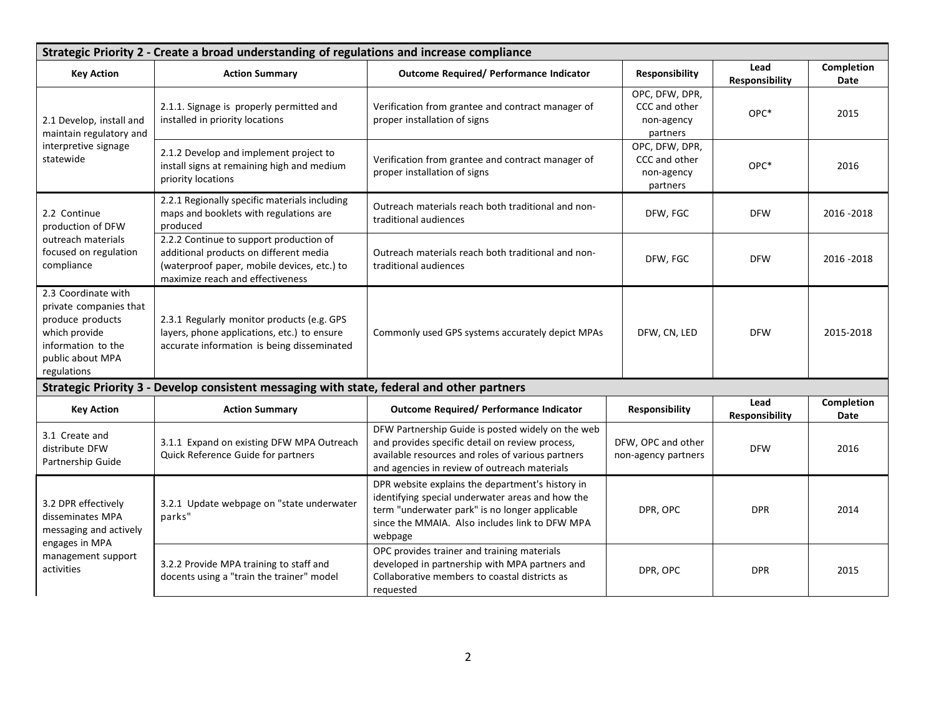| Strategic Priority 2 - Create a broad understanding of regulations and increase compliance                                                  |                                                                                                                                                                      |                                                                                                                                                                                                                     |                                                           |                        |                    |  |  |
|---------------------------------------------------------------------------------------------------------------------------------------------|----------------------------------------------------------------------------------------------------------------------------------------------------------------------|---------------------------------------------------------------------------------------------------------------------------------------------------------------------------------------------------------------------|-----------------------------------------------------------|------------------------|--------------------|--|--|
| <b>Key Action</b>                                                                                                                           | <b>Action Summary</b>                                                                                                                                                | <b>Outcome Required/ Performance Indicator</b>                                                                                                                                                                      | Responsibility                                            | Lead<br>Responsibility | Completion<br>Date |  |  |
| 2.1 Develop, install and<br>maintain regulatory and<br>interpretive signage<br>statewide                                                    | 2.1.1. Signage is properly permitted and<br>installed in priority locations                                                                                          | Verification from grantee and contract manager of<br>proper installation of signs                                                                                                                                   | OPC, DFW, DPR,<br>CCC and other<br>non-agency<br>partners | OPC*                   | 2015               |  |  |
|                                                                                                                                             | 2.1.2 Develop and implement project to<br>install signs at remaining high and medium<br>priority locations                                                           | Verification from grantee and contract manager of<br>proper installation of signs                                                                                                                                   | OPC, DFW, DPR,<br>CCC and other<br>non-agency<br>partners | OPC*                   | 2016               |  |  |
| 2.2 Continue<br>production of DFW                                                                                                           | 2.2.1 Regionally specific materials including<br>maps and booklets with regulations are<br>produced                                                                  | Outreach materials reach both traditional and non-<br>traditional audiences                                                                                                                                         | DFW, FGC                                                  | <b>DFW</b>             | 2016 - 2018        |  |  |
| outreach materials<br>focused on regulation<br>compliance                                                                                   | 2.2.2 Continue to support production of<br>additional products on different media<br>(waterproof paper, mobile devices, etc.) to<br>maximize reach and effectiveness | Outreach materials reach both traditional and non-<br>traditional audiences                                                                                                                                         | DFW, FGC                                                  | <b>DFW</b>             | 2016 - 2018        |  |  |
| 2.3 Coordinate with<br>private companies that<br>produce products<br>which provide<br>information to the<br>public about MPA<br>regulations | 2.3.1 Regularly monitor products (e.g. GPS<br>layers, phone applications, etc.) to ensure<br>accurate information is being disseminated                              | Commonly used GPS systems accurately depict MPAs                                                                                                                                                                    | DFW, CN, LED                                              | <b>DFW</b>             | 2015-2018          |  |  |
|                                                                                                                                             | Strategic Priority 3 - Develop consistent messaging with state, federal and other partners                                                                           |                                                                                                                                                                                                                     |                                                           |                        |                    |  |  |
| <b>Key Action</b>                                                                                                                           | <b>Action Summary</b>                                                                                                                                                | <b>Outcome Required/ Performance Indicator</b>                                                                                                                                                                      | Responsibility                                            | Lead<br>Responsibility | Completion<br>Date |  |  |
| 3.1 Create and<br>distribute DFW<br>Partnership Guide                                                                                       | 3.1.1 Expand on existing DFW MPA Outreach<br>Quick Reference Guide for partners                                                                                      | DFW Partnership Guide is posted widely on the web<br>and provides specific detail on review process,<br>available resources and roles of various partners<br>and agencies in review of outreach materials           | DFW, OPC and other<br>non-agency partners                 | <b>DFW</b>             | 2016               |  |  |
| 3.2 DPR effectively<br>disseminates MPA<br>messaging and actively<br>engages in MPA<br>management support<br>activities                     | 3.2.1 Update webpage on "state underwater<br>parks"                                                                                                                  | DPR website explains the department's history in<br>identifying special underwater areas and how the<br>term "underwater park" is no longer applicable<br>since the MMAIA. Also includes link to DFW MPA<br>webpage | DPR, OPC                                                  | <b>DPR</b>             | 2014               |  |  |
|                                                                                                                                             | 3.2.2 Provide MPA training to staff and<br>docents using a "train the trainer" model                                                                                 | OPC provides trainer and training materials<br>developed in partnership with MPA partners and<br>Collaborative members to coastal districts as<br>requested                                                         | DPR, OPC                                                  | DPR                    | 2015               |  |  |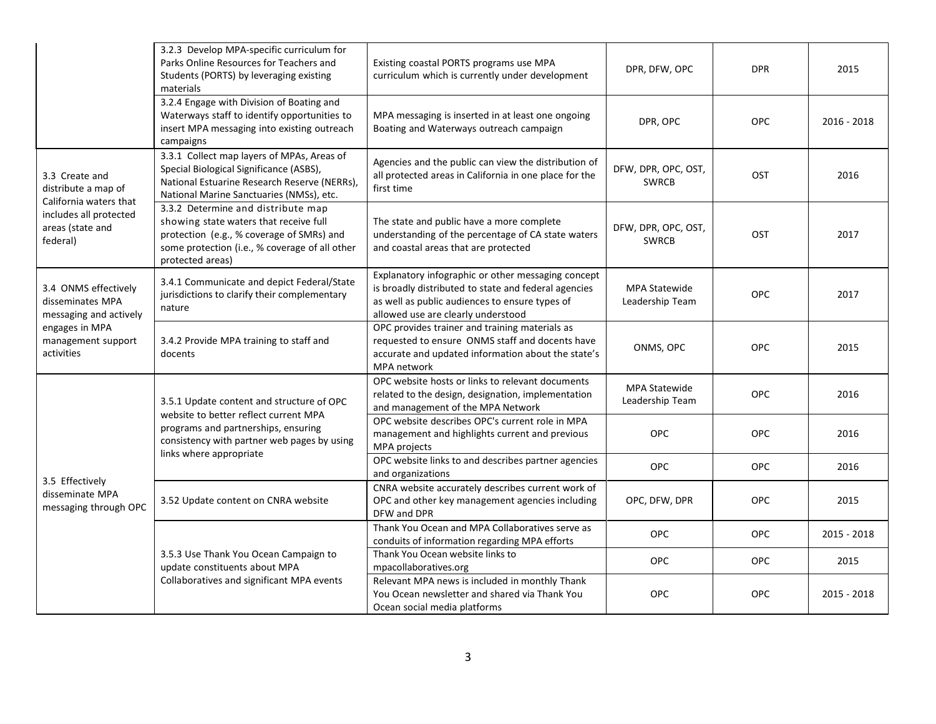|                                                                                                                           | 3.2.3 Develop MPA-specific curriculum for<br>Parks Online Resources for Teachers and<br>Students (PORTS) by leveraging existing<br>materials                                                    | Existing coastal PORTS programs use MPA<br>curriculum which is currently under development                                                                                                         | DPR, DFW, OPC                           | <b>DPR</b> | 2015          |
|---------------------------------------------------------------------------------------------------------------------------|-------------------------------------------------------------------------------------------------------------------------------------------------------------------------------------------------|----------------------------------------------------------------------------------------------------------------------------------------------------------------------------------------------------|-----------------------------------------|------------|---------------|
|                                                                                                                           | 3.2.4 Engage with Division of Boating and<br>Waterways staff to identify opportunities to<br>insert MPA messaging into existing outreach<br>campaigns                                           | MPA messaging is inserted in at least one ongoing<br>Boating and Waterways outreach campaign                                                                                                       | DPR, OPC                                | <b>OPC</b> | $2016 - 2018$ |
| 3.3 Create and<br>distribute a map of<br>California waters that<br>includes all protected<br>areas (state and<br>federal) | 3.3.1 Collect map layers of MPAs, Areas of<br>Special Biological Significance (ASBS),<br>National Estuarine Research Reserve (NERRs),<br>National Marine Sanctuaries (NMSs), etc.               | Agencies and the public can view the distribution of<br>all protected areas in California in one place for the<br>first time                                                                       | DFW, DPR, OPC, OST,<br><b>SWRCB</b>     | OST        | 2016          |
|                                                                                                                           | 3.3.2 Determine and distribute map<br>showing state waters that receive full<br>protection (e.g., % coverage of SMRs) and<br>some protection (i.e., % coverage of all other<br>protected areas) | The state and public have a more complete<br>understanding of the percentage of CA state waters<br>and coastal areas that are protected                                                            | DFW, DPR, OPC, OST,<br><b>SWRCB</b>     | <b>OST</b> | 2017          |
| 3.4 ONMS effectively<br>disseminates MPA<br>messaging and actively<br>engages in MPA<br>management support<br>activities  | 3.4.1 Communicate and depict Federal/State<br>jurisdictions to clarify their complementary<br>nature                                                                                            | Explanatory infographic or other messaging concept<br>is broadly distributed to state and federal agencies<br>as well as public audiences to ensure types of<br>allowed use are clearly understood | <b>MPA Statewide</b><br>Leadership Team | <b>OPC</b> | 2017          |
|                                                                                                                           | 3.4.2 Provide MPA training to staff and<br>docents                                                                                                                                              | OPC provides trainer and training materials as<br>requested to ensure ONMS staff and docents have<br>accurate and updated information about the state's<br>MPA network                             | ONMS, OPC                               | <b>OPC</b> | 2015          |
|                                                                                                                           | 3.5.1 Update content and structure of OPC<br>website to better reflect current MPA<br>programs and partnerships, ensuring<br>consistency with partner web pages by using                        | OPC website hosts or links to relevant documents<br>related to the design, designation, implementation<br>and management of the MPA Network                                                        | <b>MPA Statewide</b><br>Leadership Team | <b>OPC</b> | 2016          |
|                                                                                                                           |                                                                                                                                                                                                 | OPC website describes OPC's current role in MPA<br>management and highlights current and previous<br>MPA projects                                                                                  | OPC                                     | <b>OPC</b> | 2016          |
|                                                                                                                           | links where appropriate                                                                                                                                                                         | OPC website links to and describes partner agencies<br>and organizations                                                                                                                           | <b>OPC</b>                              | <b>OPC</b> | 2016          |
| 3.5 Effectively<br>disseminate MPA<br>messaging through OPC                                                               | 3.52 Update content on CNRA website                                                                                                                                                             | CNRA website accurately describes current work of<br>OPC and other key management agencies including<br>DFW and DPR                                                                                | OPC, DFW, DPR                           | <b>OPC</b> | 2015          |
|                                                                                                                           |                                                                                                                                                                                                 | Thank You Ocean and MPA Collaboratives serve as<br>conduits of information regarding MPA efforts                                                                                                   | <b>OPC</b>                              | <b>OPC</b> | 2015 - 2018   |
|                                                                                                                           | 3.5.3 Use Thank You Ocean Campaign to<br>update constituents about MPA                                                                                                                          | Thank You Ocean website links to<br>mpacollaboratives.org                                                                                                                                          | <b>OPC</b>                              | <b>OPC</b> | 2015          |
|                                                                                                                           | Collaboratives and significant MPA events                                                                                                                                                       | Relevant MPA news is included in monthly Thank<br>You Ocean newsletter and shared via Thank You<br>Ocean social media platforms                                                                    | <b>OPC</b>                              | <b>OPC</b> | 2015 - 2018   |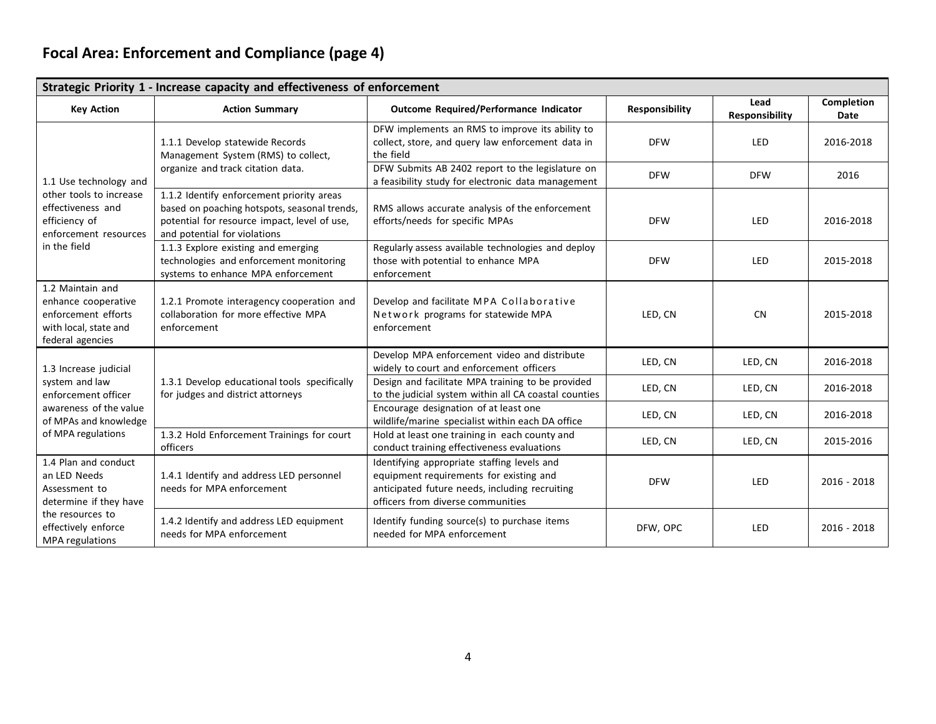# **Focal Area: Enforcement and Compliance (page 4)**

| Strategic Priority 1 - Increase capacity and effectiveness of enforcement                                                                     |                                                                                                                                                                           |                                                                                                                                                                               |                       |                               |                    |  |  |
|-----------------------------------------------------------------------------------------------------------------------------------------------|---------------------------------------------------------------------------------------------------------------------------------------------------------------------------|-------------------------------------------------------------------------------------------------------------------------------------------------------------------------------|-----------------------|-------------------------------|--------------------|--|--|
| <b>Key Action</b>                                                                                                                             | <b>Action Summary</b>                                                                                                                                                     | Outcome Required/Performance Indicator                                                                                                                                        | <b>Responsibility</b> | Lead<br><b>Responsibility</b> | Completion<br>Date |  |  |
|                                                                                                                                               | 1.1.1 Develop statewide Records<br>Management System (RMS) to collect,                                                                                                    | DFW implements an RMS to improve its ability to<br>collect, store, and query law enforcement data in<br>the field                                                             | <b>DFW</b>            | <b>LED</b>                    | 2016-2018          |  |  |
| 1.1 Use technology and                                                                                                                        | organize and track citation data.                                                                                                                                         | DFW Submits AB 2402 report to the legislature on<br>a feasibility study for electronic data management                                                                        | <b>DFW</b>            | <b>DFW</b>                    | 2016               |  |  |
| other tools to increase<br>effectiveness and<br>efficiency of<br>enforcement resources                                                        | 1.1.2 Identify enforcement priority areas<br>based on poaching hotspots, seasonal trends,<br>potential for resource impact, level of use,<br>and potential for violations | RMS allows accurate analysis of the enforcement<br>efforts/needs for specific MPAs                                                                                            | <b>DFW</b>            | LED                           | 2016-2018          |  |  |
| in the field                                                                                                                                  | 1.1.3 Explore existing and emerging<br>technologies and enforcement monitoring<br>systems to enhance MPA enforcement                                                      | Regularly assess available technologies and deploy<br>those with potential to enhance MPA<br>enforcement                                                                      | <b>DFW</b>            | LED                           | 2015-2018          |  |  |
| 1.2 Maintain and<br>enhance cooperative<br>enforcement efforts<br>with local, state and<br>federal agencies                                   | 1.2.1 Promote interagency cooperation and<br>collaboration for more effective MPA<br>enforcement                                                                          | Develop and facilitate MPA Collaborative<br>Network programs for statewide MPA<br>enforcement                                                                                 | LED. CN               | <b>CN</b>                     | 2015-2018          |  |  |
| 1.3 Increase judicial                                                                                                                         | 1.3.1 Develop educational tools specifically<br>for judges and district attorneys                                                                                         | Develop MPA enforcement video and distribute<br>widely to court and enforcement officers                                                                                      | LED, CN               | LED, CN                       | 2016-2018          |  |  |
| system and law<br>enforcement officer                                                                                                         |                                                                                                                                                                           | Design and facilitate MPA training to be provided<br>to the judicial system within all CA coastal counties                                                                    | LED, CN               | LED, CN                       | 2016-2018          |  |  |
| awareness of the value<br>of MPAs and knowledge                                                                                               |                                                                                                                                                                           | Encourage designation of at least one<br>wildlife/marine specialist within each DA office                                                                                     | LED, CN               | LED, CN                       | 2016-2018          |  |  |
| of MPA regulations                                                                                                                            | 1.3.2 Hold Enforcement Trainings for court<br>officers                                                                                                                    | Hold at least one training in each county and<br>conduct training effectiveness evaluations                                                                                   | LED, CN               | LED, CN                       | 2015-2016          |  |  |
| 1.4 Plan and conduct<br>an LED Needs<br>Assessment to<br>determine if they have<br>the resources to<br>effectively enforce<br>MPA regulations | 1.4.1 Identify and address LED personnel<br>needs for MPA enforcement                                                                                                     | Identifying appropriate staffing levels and<br>equipment requirements for existing and<br>anticipated future needs, including recruiting<br>officers from diverse communities | <b>DFW</b>            | <b>LED</b>                    | $2016 - 2018$      |  |  |
|                                                                                                                                               | 1.4.2 Identify and address LED equipment<br>needs for MPA enforcement                                                                                                     | Identify funding source(s) to purchase items<br>needed for MPA enforcement                                                                                                    | DFW, OPC              | LED                           | $2016 - 2018$      |  |  |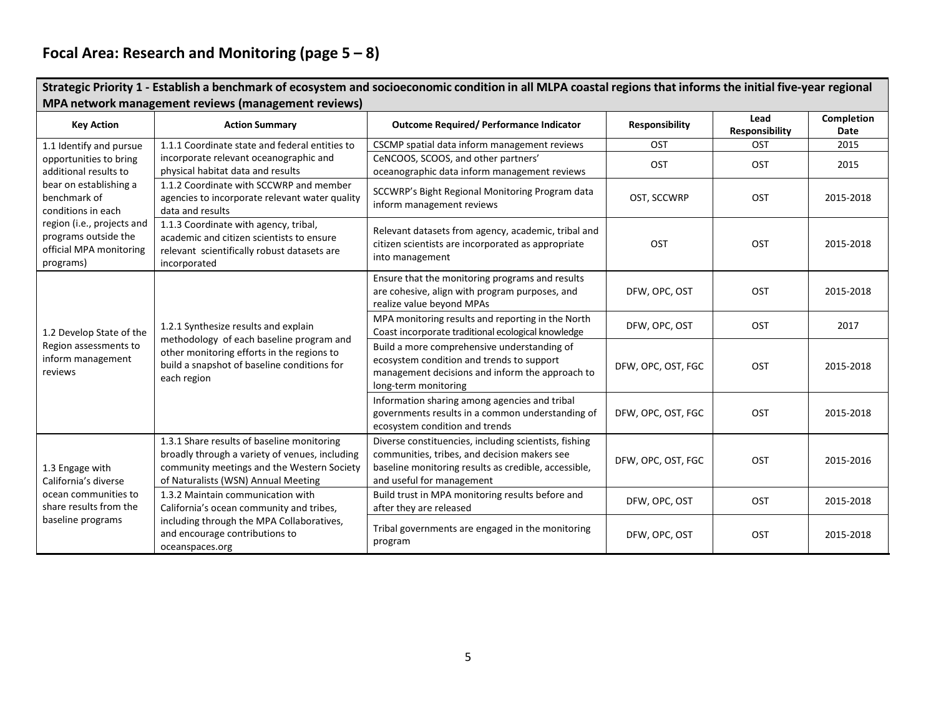# **Focal Area: Research and Monitoring (page 5 – 8)**

| Strategic Priority 1 - Establish a benchmark of ecosystem and socioeconomic condition in all MLPA coastal regions that informs the initial five-year regional<br>MPA network management reviews (management reviews) |                                                                                                                                                                                              |                                                                                                                                                                                            |                       |                        |                    |  |  |
|----------------------------------------------------------------------------------------------------------------------------------------------------------------------------------------------------------------------|----------------------------------------------------------------------------------------------------------------------------------------------------------------------------------------------|--------------------------------------------------------------------------------------------------------------------------------------------------------------------------------------------|-----------------------|------------------------|--------------------|--|--|
| <b>Key Action</b>                                                                                                                                                                                                    | <b>Action Summary</b>                                                                                                                                                                        | <b>Outcome Required/ Performance Indicator</b>                                                                                                                                             | <b>Responsibility</b> | Lead<br>Responsibility | Completion<br>Date |  |  |
| 1.1 Identify and pursue                                                                                                                                                                                              | 1.1.1 Coordinate state and federal entities to                                                                                                                                               | CSCMP spatial data inform management reviews                                                                                                                                               | OST                   | OST                    | 2015               |  |  |
| opportunities to bring<br>additional results to                                                                                                                                                                      | incorporate relevant oceanographic and<br>physical habitat data and results                                                                                                                  | CeNCOOS, SCOOS, and other partners'<br>oceanographic data inform management reviews                                                                                                        | <b>OST</b>            | OST                    | 2015               |  |  |
| bear on establishing a<br>benchmark of<br>conditions in each                                                                                                                                                         | 1.1.2 Coordinate with SCCWRP and member<br>agencies to incorporate relevant water quality<br>data and results                                                                                | SCCWRP's Bight Regional Monitoring Program data<br>inform management reviews                                                                                                               | OST, SCCWRP           | OST                    | 2015-2018          |  |  |
| region (i.e., projects and<br>programs outside the<br>official MPA monitoring<br>programs)                                                                                                                           | 1.1.3 Coordinate with agency, tribal,<br>academic and citizen scientists to ensure<br>relevant scientifically robust datasets are<br>incorporated                                            | Relevant datasets from agency, academic, tribal and<br>citizen scientists are incorporated as appropriate<br>into management                                                               | OST                   | <b>OST</b>             | 2015-2018          |  |  |
|                                                                                                                                                                                                                      | 1.2.1 Synthesize results and explain<br>methodology of each baseline program and<br>other monitoring efforts in the regions to<br>build a snapshot of baseline conditions for<br>each region | Ensure that the monitoring programs and results<br>are cohesive, align with program purposes, and<br>realize value beyond MPAs                                                             | DFW, OPC, OST         | OST                    | 2015-2018          |  |  |
| 1.2 Develop State of the                                                                                                                                                                                             |                                                                                                                                                                                              | MPA monitoring results and reporting in the North<br>Coast incorporate traditional ecological knowledge                                                                                    | DFW, OPC, OST         | OST                    | 2017               |  |  |
| Region assessments to<br>inform management<br>reviews                                                                                                                                                                |                                                                                                                                                                                              | Build a more comprehensive understanding of<br>ecosystem condition and trends to support<br>management decisions and inform the approach to<br>long-term monitoring                        | DFW, OPC, OST, FGC    | OST                    | 2015-2018          |  |  |
|                                                                                                                                                                                                                      |                                                                                                                                                                                              | Information sharing among agencies and tribal<br>governments results in a common understanding of<br>ecosystem condition and trends                                                        | DFW, OPC, OST, FGC    | OST                    | 2015-2018          |  |  |
| 1.3 Engage with<br>California's diverse                                                                                                                                                                              | 1.3.1 Share results of baseline monitoring<br>broadly through a variety of venues, including<br>community meetings and the Western Society<br>of Naturalists (WSN) Annual Meeting            | Diverse constituencies, including scientists, fishing<br>communities, tribes, and decision makers see<br>baseline monitoring results as credible, accessible,<br>and useful for management | DFW, OPC, OST, FGC    | <b>OST</b>             | 2015-2016          |  |  |
| ocean communities to<br>share results from the                                                                                                                                                                       | 1.3.2 Maintain communication with<br>California's ocean community and tribes,                                                                                                                | Build trust in MPA monitoring results before and<br>after they are released                                                                                                                | DFW, OPC, OST         | OST                    | 2015-2018          |  |  |
| baseline programs                                                                                                                                                                                                    | including through the MPA Collaboratives,<br>and encourage contributions to<br>oceanspaces.org                                                                                               | Tribal governments are engaged in the monitoring<br>program                                                                                                                                | DFW, OPC, OST         | OST                    | 2015-2018          |  |  |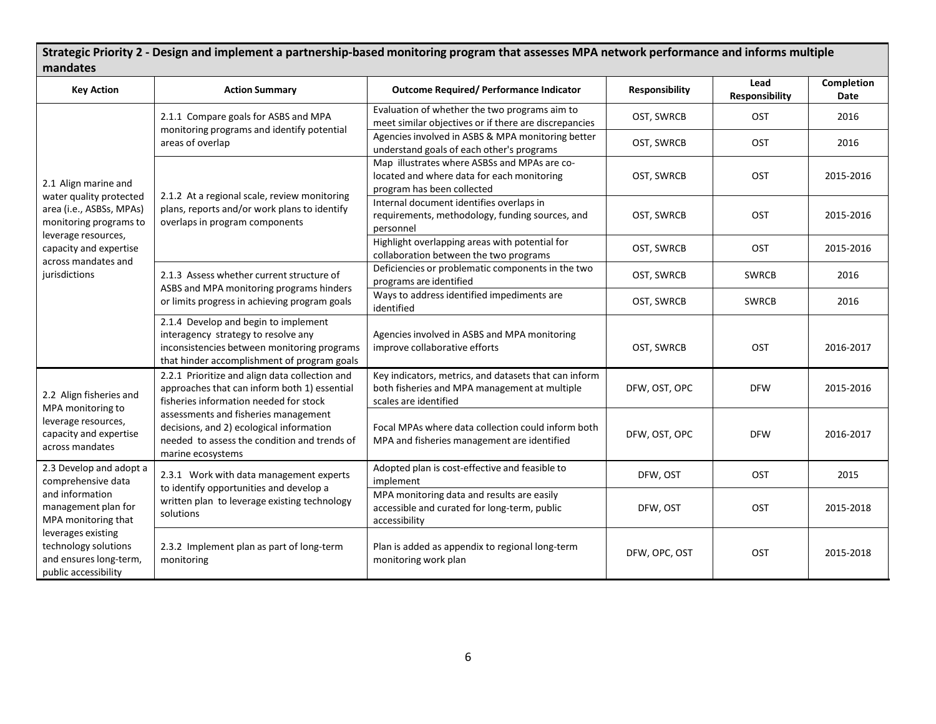Strategic Priority 2 - Design and implement a partnership-based monitoring program that assesses MPA network performance and informs multiple **mandates**

| <b>Key Action</b>                                                                                                                                             | <b>Action Summary</b>                                                                                                                                                     | <b>Outcome Required/ Performance Indicator</b>                                                                                  | <b>Responsibility</b> | Lead<br>Responsibility | Completion<br><b>Date</b> |
|---------------------------------------------------------------------------------------------------------------------------------------------------------------|---------------------------------------------------------------------------------------------------------------------------------------------------------------------------|---------------------------------------------------------------------------------------------------------------------------------|-----------------------|------------------------|---------------------------|
| 2.1 Align marine and                                                                                                                                          | 2.1.1 Compare goals for ASBS and MPA                                                                                                                                      | Evaluation of whether the two programs aim to<br>meet similar objectives or if there are discrepancies                          | OST, SWRCB            | OST                    | 2016                      |
|                                                                                                                                                               | monitoring programs and identify potential<br>areas of overlap                                                                                                            | Agencies involved in ASBS & MPA monitoring better<br>understand goals of each other's programs                                  | OST, SWRCB            | OST                    | 2016                      |
|                                                                                                                                                               | 2.1.2 At a regional scale, review monitoring                                                                                                                              | Map illustrates where ASBSs and MPAs are co-<br>located and where data for each monitoring<br>program has been collected        | OST, SWRCB            | OST                    | 2015-2016                 |
| water quality protected<br>area (i.e., ASBSs, MPAs)<br>monitoring programs to                                                                                 | plans, reports and/or work plans to identify<br>overlaps in program components                                                                                            | Internal document identifies overlaps in<br>requirements, methodology, funding sources, and<br>personnel                        | OST, SWRCB            | OST                    | 2015-2016                 |
| leverage resources,<br>capacity and expertise<br>across mandates and                                                                                          |                                                                                                                                                                           | Highlight overlapping areas with potential for<br>collaboration between the two programs                                        | OST, SWRCB            | OST                    | 2015-2016                 |
| jurisdictions                                                                                                                                                 | 2.1.3 Assess whether current structure of<br>ASBS and MPA monitoring programs hinders<br>or limits progress in achieving program goals                                    | Deficiencies or problematic components in the two<br>programs are identified                                                    | OST, SWRCB            | <b>SWRCB</b>           | 2016                      |
|                                                                                                                                                               |                                                                                                                                                                           | Ways to address identified impediments are<br>identified                                                                        | OST, SWRCB            | <b>SWRCB</b>           | 2016                      |
|                                                                                                                                                               | 2.1.4 Develop and begin to implement<br>interagency strategy to resolve any<br>inconsistencies between monitoring programs<br>that hinder accomplishment of program goals | Agencies involved in ASBS and MPA monitoring<br>improve collaborative efforts                                                   | OST, SWRCB            | OST                    | 2016-2017                 |
| 2.2 Align fisheries and<br>MPA monitoring to<br>leverage resources,<br>capacity and expertise<br>across mandates                                              | 2.2.1 Prioritize and align data collection and<br>approaches that can inform both 1) essential<br>fisheries information needed for stock                                  | Key indicators, metrics, and datasets that can inform<br>both fisheries and MPA management at multiple<br>scales are identified | DFW, OST, OPC         | <b>DFW</b>             | 2015-2016                 |
|                                                                                                                                                               | assessments and fisheries management<br>decisions, and 2) ecological information<br>needed to assess the condition and trends of<br>marine ecosystems                     | Focal MPAs where data collection could inform both<br>MPA and fisheries management are identified                               | DFW, OST, OPC         | <b>DFW</b>             | 2016-2017                 |
| 2.3 Develop and adopt a<br>comprehensive data                                                                                                                 | 2.3.1 Work with data management experts<br>to identify opportunities and develop a                                                                                        | Adopted plan is cost-effective and feasible to<br>implement                                                                     | DFW, OST              | OST                    | 2015                      |
| and information<br>management plan for<br>MPA monitoring that<br>leverages existing<br>technology solutions<br>and ensures long-term,<br>public accessibility | written plan to leverage existing technology<br>solutions                                                                                                                 | MPA monitoring data and results are easily<br>accessible and curated for long-term, public<br>accessibility                     | DFW, OST              | OST                    | 2015-2018                 |
|                                                                                                                                                               | 2.3.2 Implement plan as part of long-term<br>monitoring                                                                                                                   | Plan is added as appendix to regional long-term<br>monitoring work plan                                                         | DFW, OPC, OST         | OST                    | 2015-2018                 |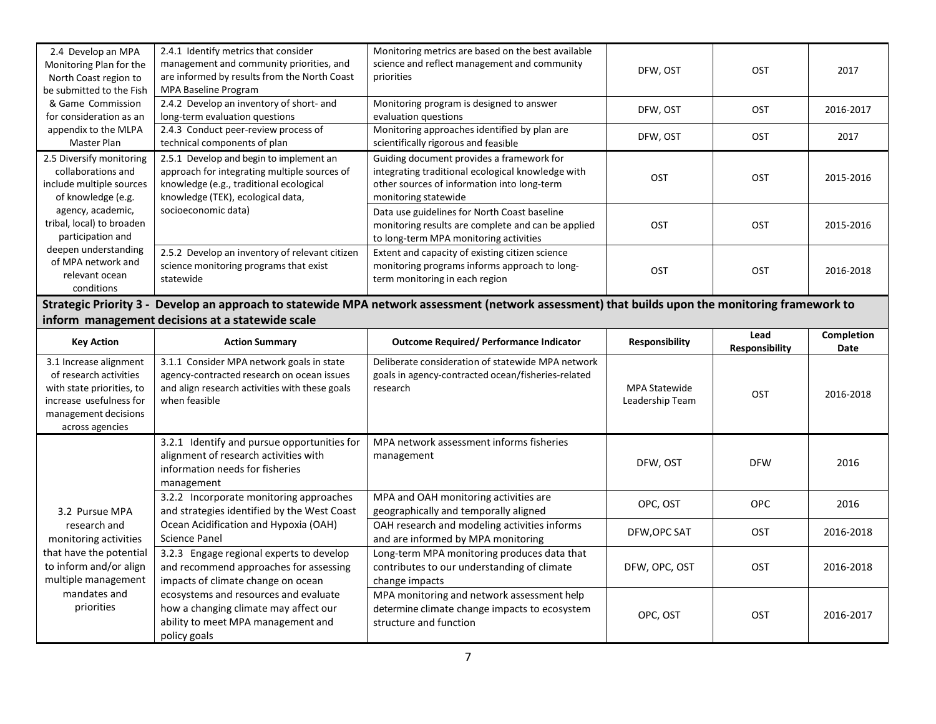| 2.4 Develop an MPA<br>Monitoring Plan for the<br>North Coast region to<br>be submitted to the Fish                                                                                                   | 2.4.1 Identify metrics that consider<br>management and community priorities, and<br>are informed by results from the North Coast<br><b>MPA Baseline Program</b>         | Monitoring metrics are based on the best available<br>science and reflect management and community<br>priorities                                                      | DFW, OST                                | <b>OST</b>                    | 2017               |  |  |
|------------------------------------------------------------------------------------------------------------------------------------------------------------------------------------------------------|-------------------------------------------------------------------------------------------------------------------------------------------------------------------------|-----------------------------------------------------------------------------------------------------------------------------------------------------------------------|-----------------------------------------|-------------------------------|--------------------|--|--|
| & Game Commission<br>for consideration as an                                                                                                                                                         | 2.4.2 Develop an inventory of short- and<br>long-term evaluation questions                                                                                              | Monitoring program is designed to answer<br>evaluation questions                                                                                                      | DFW, OST                                | OST                           | 2016-2017          |  |  |
| appendix to the MLPA<br>Master Plan                                                                                                                                                                  | 2.4.3 Conduct peer-review process of<br>technical components of plan                                                                                                    | Monitoring approaches identified by plan are<br>scientifically rigorous and feasible                                                                                  | DFW, OST                                | <b>OST</b>                    | 2017               |  |  |
| 2.5 Diversify monitoring<br>collaborations and<br>include multiple sources<br>of knowledge (e.g.                                                                                                     | 2.5.1 Develop and begin to implement an<br>approach for integrating multiple sources of<br>knowledge (e.g., traditional ecological<br>knowledge (TEK), ecological data, | Guiding document provides a framework for<br>integrating traditional ecological knowledge with<br>other sources of information into long-term<br>monitoring statewide | <b>OST</b>                              | <b>OST</b>                    | 2015-2016          |  |  |
| agency, academic,<br>tribal, local) to broaden<br>participation and                                                                                                                                  | socioeconomic data)                                                                                                                                                     | Data use guidelines for North Coast baseline<br>monitoring results are complete and can be applied<br>to long-term MPA monitoring activities                          | OST                                     | OST                           | 2015-2016          |  |  |
| deepen understanding<br>of MPA network and<br>relevant ocean<br>conditions                                                                                                                           | 2.5.2 Develop an inventory of relevant citizen<br>science monitoring programs that exist<br>statewide                                                                   | Extent and capacity of existing citizen science<br>monitoring programs informs approach to long-<br>term monitoring in each region                                    | <b>OST</b>                              | OST                           | 2016-2018          |  |  |
| Strategic Priority 3 - Develop an approach to statewide MPA network assessment (network assessment) that builds upon the monitoring framework to<br>inform management decisions at a statewide scale |                                                                                                                                                                         |                                                                                                                                                                       |                                         |                               |                    |  |  |
|                                                                                                                                                                                                      |                                                                                                                                                                         |                                                                                                                                                                       |                                         |                               |                    |  |  |
| <b>Key Action</b>                                                                                                                                                                                    | <b>Action Summary</b>                                                                                                                                                   | <b>Outcome Required/Performance Indicator</b>                                                                                                                         | <b>Responsibility</b>                   | Lead<br><b>Responsibility</b> | Completion<br>Date |  |  |
| 3.1 Increase alignment<br>of research activities<br>with state priorities, to<br>increase usefulness for<br>management decisions<br>across agencies                                                  | 3.1.1 Consider MPA network goals in state<br>agency-contracted research on ocean issues<br>and align research activities with these goals<br>when feasible              | Deliberate consideration of statewide MPA network<br>goals in agency-contracted ocean/fisheries-related<br>research                                                   | <b>MPA Statewide</b><br>Leadership Team | OST                           | 2016-2018          |  |  |
|                                                                                                                                                                                                      | 3.2.1 Identify and pursue opportunities for<br>alignment of research activities with<br>information needs for fisheries<br>management                                   | MPA network assessment informs fisheries<br>management                                                                                                                | DFW, OST                                | <b>DFW</b>                    | 2016               |  |  |
| 3.2 Pursue MPA                                                                                                                                                                                       | 3.2.2 Incorporate monitoring approaches<br>and strategies identified by the West Coast                                                                                  | MPA and OAH monitoring activities are<br>geographically and temporally aligned                                                                                        | OPC, OST                                | <b>OPC</b>                    | 2016               |  |  |
| research and<br>monitoring activities                                                                                                                                                                | Ocean Acidification and Hypoxia (OAH)<br><b>Science Panel</b>                                                                                                           | OAH research and modeling activities informs<br>and are informed by MPA monitoring                                                                                    | DFW, OPC SAT                            | <b>OST</b>                    | 2016-2018          |  |  |
| that have the potential<br>to inform and/or align<br>multiple management                                                                                                                             | 3.2.3 Engage regional experts to develop<br>and recommend approaches for assessing                                                                                      | Long-term MPA monitoring produces data that<br>contributes to our understanding of climate                                                                            | DFW, OPC, OST                           | <b>OST</b>                    | 2016-2018          |  |  |
|                                                                                                                                                                                                      | impacts of climate change on ocean<br>ecosystems and resources and evaluate                                                                                             | change impacts                                                                                                                                                        |                                         |                               |                    |  |  |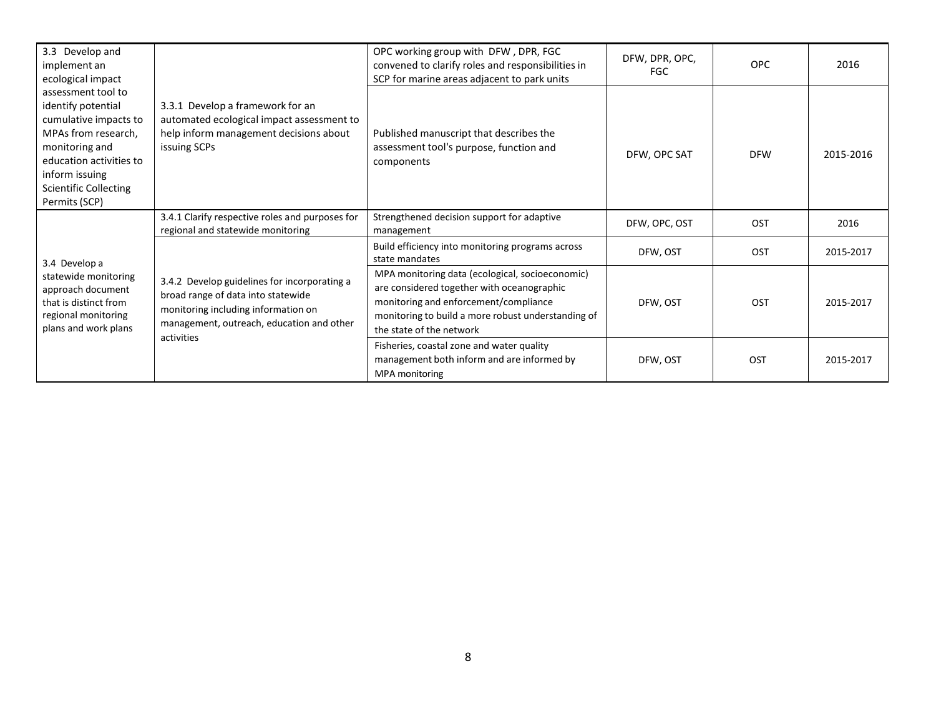| 3.3 Develop and<br>implement an<br>ecological impact                                                                                                                                                     | 3.3.1 Develop a framework for an<br>automated ecological impact assessment to<br>help inform management decisions about<br>issuing SCPs                                              | OPC working group with DFW, DPR, FGC<br>convened to clarify roles and responsibilities in<br>SCP for marine areas adjacent to park units                                                                                 | DFW, DPR, OPC,<br><b>FGC</b> | <b>OPC</b> | 2016      |
|----------------------------------------------------------------------------------------------------------------------------------------------------------------------------------------------------------|--------------------------------------------------------------------------------------------------------------------------------------------------------------------------------------|--------------------------------------------------------------------------------------------------------------------------------------------------------------------------------------------------------------------------|------------------------------|------------|-----------|
| assessment tool to<br>identify potential<br>cumulative impacts to<br>MPAs from research,<br>monitoring and<br>education activities to<br>inform issuing<br><b>Scientific Collecting</b><br>Permits (SCP) |                                                                                                                                                                                      | Published manuscript that describes the<br>assessment tool's purpose, function and<br>components                                                                                                                         | DFW, OPC SAT                 | <b>DFW</b> | 2015-2016 |
|                                                                                                                                                                                                          | 3.4.1 Clarify respective roles and purposes for<br>regional and statewide monitoring                                                                                                 | Strengthened decision support for adaptive<br>management                                                                                                                                                                 | DFW, OPC, OST                | OST        | 2016      |
| 3.4 Develop a                                                                                                                                                                                            | 3.4.2 Develop guidelines for incorporating a<br>broad range of data into statewide<br>monitoring including information on<br>management, outreach, education and other<br>activities | Build efficiency into monitoring programs across<br>state mandates                                                                                                                                                       | DFW, OST                     | OST        | 2015-2017 |
| statewide monitoring<br>approach document<br>that is distinct from<br>regional monitoring<br>plans and work plans                                                                                        |                                                                                                                                                                                      | MPA monitoring data (ecological, socioeconomic)<br>are considered together with oceanographic<br>monitoring and enforcement/compliance<br>monitoring to build a more robust understanding of<br>the state of the network | DFW, OST                     | <b>OST</b> | 2015-2017 |
|                                                                                                                                                                                                          |                                                                                                                                                                                      | Fisheries, coastal zone and water quality<br>management both inform and are informed by<br>MPA monitoring                                                                                                                | DFW, OST                     | OST        | 2015-2017 |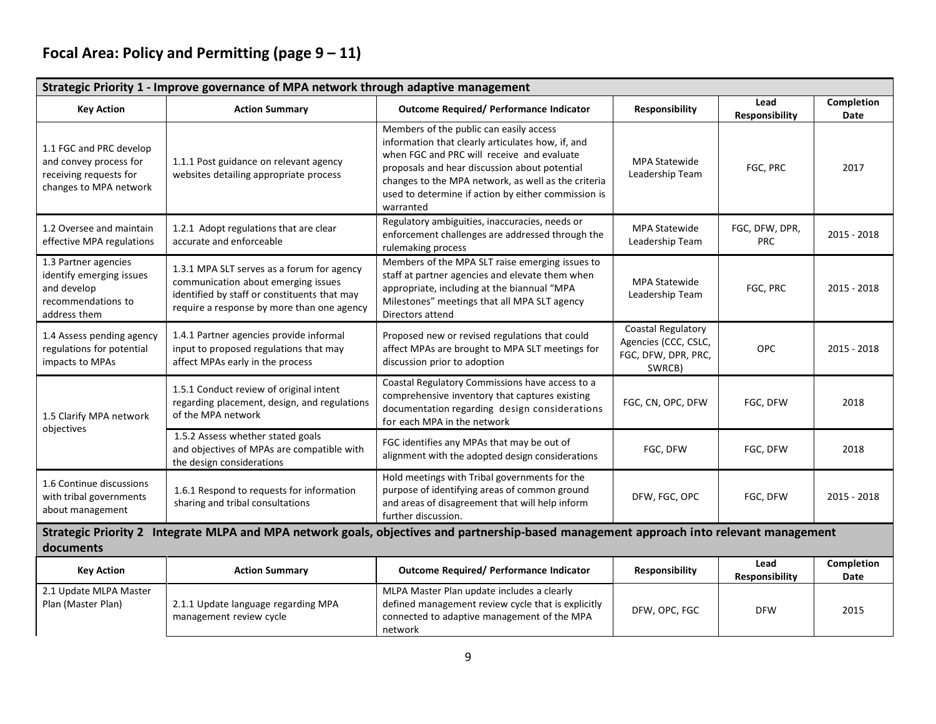# **Focal Area: Policy and Permitting (page 9 – 11)**

| Strategic Priority 1 - Improve governance of MPA network through adaptive management                  |                                                                                                                                                                                 |                                                                                                                                                                                                                                                                                                                        |                                                                             |                              |                    |  |  |
|-------------------------------------------------------------------------------------------------------|---------------------------------------------------------------------------------------------------------------------------------------------------------------------------------|------------------------------------------------------------------------------------------------------------------------------------------------------------------------------------------------------------------------------------------------------------------------------------------------------------------------|-----------------------------------------------------------------------------|------------------------------|--------------------|--|--|
| <b>Key Action</b>                                                                                     | <b>Action Summary</b>                                                                                                                                                           | <b>Outcome Required/ Performance Indicator</b>                                                                                                                                                                                                                                                                         | Responsibility                                                              | Lead<br>Responsibility       | Completion<br>Date |  |  |
| 1.1 FGC and PRC develop<br>and convey process for<br>receiving requests for<br>changes to MPA network | 1.1.1 Post guidance on relevant agency<br>websites detailing appropriate process                                                                                                | Members of the public can easily access<br>information that clearly articulates how, if, and<br>when FGC and PRC will receive and evaluate<br>proposals and hear discussion about potential<br>changes to the MPA network, as well as the criteria<br>used to determine if action by either commission is<br>warranted | <b>MPA Statewide</b><br>Leadership Team                                     | FGC, PRC                     | 2017               |  |  |
| 1.2 Oversee and maintain<br>effective MPA regulations                                                 | 1.2.1 Adopt regulations that are clear<br>accurate and enforceable                                                                                                              | Regulatory ambiguities, inaccuracies, needs or<br>enforcement challenges are addressed through the<br>rulemaking process                                                                                                                                                                                               | <b>MPA Statewide</b><br>Leadership Team                                     | FGC, DFW, DPR,<br><b>PRC</b> | 2015 - 2018        |  |  |
| 1.3 Partner agencies<br>identify emerging issues<br>and develop<br>recommendations to<br>address them | 1.3.1 MPA SLT serves as a forum for agency<br>communication about emerging issues<br>identified by staff or constituents that may<br>require a response by more than one agency | Members of the MPA SLT raise emerging issues to<br>staff at partner agencies and elevate them when<br>appropriate, including at the biannual "MPA<br>Milestones" meetings that all MPA SLT agency<br>Directors attend                                                                                                  | <b>MPA Statewide</b><br>Leadership Team                                     | FGC, PRC                     | 2015 - 2018        |  |  |
| 1.4 Assess pending agency<br>regulations for potential<br>impacts to MPAs                             | 1.4.1 Partner agencies provide informal<br>input to proposed regulations that may<br>affect MPAs early in the process                                                           | Proposed new or revised regulations that could<br>affect MPAs are brought to MPA SLT meetings for<br>discussion prior to adoption                                                                                                                                                                                      | Coastal Regulatory<br>Agencies (CCC, CSLC,<br>FGC, DFW, DPR, PRC,<br>SWRCB) | <b>OPC</b>                   | 2015 - 2018        |  |  |
| 1.5 Clarify MPA network                                                                               | 1.5.1 Conduct review of original intent<br>regarding placement, design, and regulations<br>of the MPA network                                                                   | Coastal Regulatory Commissions have access to a<br>comprehensive inventory that captures existing<br>documentation regarding design considerations<br>for each MPA in the network                                                                                                                                      | FGC, CN, OPC, DFW                                                           | FGC, DFW                     | 2018               |  |  |
| objectives                                                                                            | 1.5.2 Assess whether stated goals<br>and objectives of MPAs are compatible with<br>the design considerations                                                                    | FGC identifies any MPAs that may be out of<br>alignment with the adopted design considerations                                                                                                                                                                                                                         | FGC, DFW                                                                    | FGC, DFW                     | 2018               |  |  |
| 1.6 Continue discussions<br>with tribal governments<br>about management                               | 1.6.1 Respond to requests for information<br>sharing and tribal consultations                                                                                                   | Hold meetings with Tribal governments for the<br>purpose of identifying areas of common ground<br>and areas of disagreement that will help inform<br>further discussion.                                                                                                                                               | DFW, FGC, OPC                                                               | FGC, DFW                     | 2015 - 2018        |  |  |
| documents                                                                                             | Strategic Priority 2 Integrate MLPA and MPA network goals, objectives and partnership-based management approach into relevant management                                        |                                                                                                                                                                                                                                                                                                                        |                                                                             |                              |                    |  |  |
| <b>Key Action</b>                                                                                     | <b>Action Summary</b>                                                                                                                                                           | Outcome Required/ Performance Indicator                                                                                                                                                                                                                                                                                | Responsibility                                                              | Lead<br>Responsibility       | Completion<br>Date |  |  |
| 2.1 Update MLPA Master<br>Plan (Master Plan)                                                          | 2.1.1 Update language regarding MPA<br>management review cycle                                                                                                                  | MLPA Master Plan update includes a clearly<br>defined management review cycle that is explicitly<br>connected to adaptive management of the MPA<br>network                                                                                                                                                             | DFW, OPC, FGC                                                               | <b>DFW</b>                   | 2015               |  |  |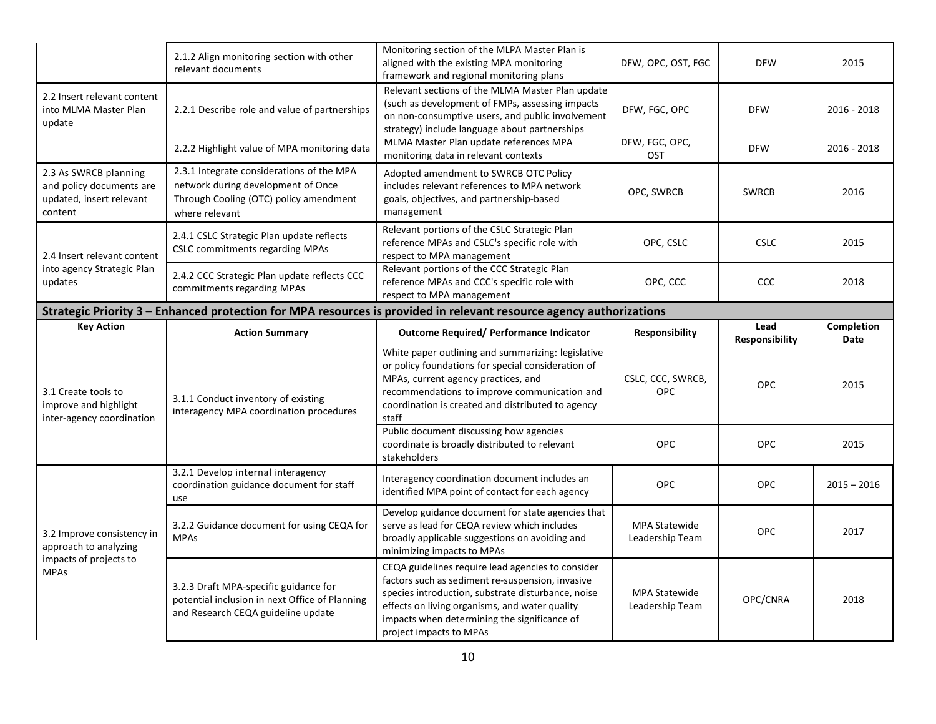|                                                                                          | 2.1.2 Align monitoring section with other<br>relevant documents                                                                             | Monitoring section of the MLPA Master Plan is<br>aligned with the existing MPA monitoring<br>framework and regional monitoring plans                                                                                                                          | DFW, OPC, OST, FGC                      | <b>DFW</b>             | 2015               |  |  |  |
|------------------------------------------------------------------------------------------|---------------------------------------------------------------------------------------------------------------------------------------------|---------------------------------------------------------------------------------------------------------------------------------------------------------------------------------------------------------------------------------------------------------------|-----------------------------------------|------------------------|--------------------|--|--|--|
| 2.2 Insert relevant content<br>into MLMA Master Plan<br>update                           | 2.2.1 Describe role and value of partnerships                                                                                               | Relevant sections of the MLMA Master Plan update<br>(such as development of FMPs, assessing impacts<br>on non-consumptive users, and public involvement<br>strategy) include language about partnerships                                                      | DFW, FGC, OPC                           | <b>DFW</b>             | $2016 - 2018$      |  |  |  |
|                                                                                          | 2.2.2 Highlight value of MPA monitoring data                                                                                                | MLMA Master Plan update references MPA<br>monitoring data in relevant contexts                                                                                                                                                                                | DFW, FGC, OPC,<br>OST                   | <b>DFW</b>             | 2016 - 2018        |  |  |  |
| 2.3 As SWRCB planning<br>and policy documents are<br>updated, insert relevant<br>content | 2.3.1 Integrate considerations of the MPA<br>network during development of Once<br>Through Cooling (OTC) policy amendment<br>where relevant | Adopted amendment to SWRCB OTC Policy<br>includes relevant references to MPA network<br>goals, objectives, and partnership-based<br>management                                                                                                                | OPC, SWRCB                              | <b>SWRCB</b>           | 2016               |  |  |  |
| 2.4 Insert relevant content                                                              | 2.4.1 CSLC Strategic Plan update reflects<br><b>CSLC</b> commitments regarding MPAs                                                         | Relevant portions of the CSLC Strategic Plan<br>reference MPAs and CSLC's specific role with<br>respect to MPA management                                                                                                                                     | OPC, CSLC                               | <b>CSLC</b>            | 2015               |  |  |  |
| into agency Strategic Plan<br>updates                                                    | 2.4.2 CCC Strategic Plan update reflects CCC<br>commitments regarding MPAs                                                                  | Relevant portions of the CCC Strategic Plan<br>reference MPAs and CCC's specific role with<br>respect to MPA management                                                                                                                                       | OPC, CCC                                | CCC                    | 2018               |  |  |  |
|                                                                                          | Strategic Priority 3 - Enhanced protection for MPA resources is provided in relevant resource agency authorizations                         |                                                                                                                                                                                                                                                               |                                         |                        |                    |  |  |  |
| <b>Key Action</b>                                                                        | <b>Action Summary</b>                                                                                                                       | <b>Outcome Required/ Performance Indicator</b>                                                                                                                                                                                                                | <b>Responsibility</b>                   | Lead<br>Responsibility | Completion<br>Date |  |  |  |
| 3.1 Create tools to<br>improve and highlight                                             |                                                                                                                                             |                                                                                                                                                                                                                                                               |                                         |                        |                    |  |  |  |
| inter-agency coordination                                                                | 3.1.1 Conduct inventory of existing<br>interagency MPA coordination procedures                                                              | White paper outlining and summarizing: legislative<br>or policy foundations for special consideration of<br>MPAs, current agency practices, and<br>recommendations to improve communication and<br>coordination is created and distributed to agency<br>staff | CSLC, CCC, SWRCB,<br><b>OPC</b>         | <b>OPC</b>             | 2015               |  |  |  |
|                                                                                          |                                                                                                                                             | Public document discussing how agencies<br>coordinate is broadly distributed to relevant<br><b>stakeholders</b>                                                                                                                                               | OPC                                     | OPC                    | 2015               |  |  |  |
|                                                                                          | 3.2.1 Develop internal interagency<br>coordination guidance document for staff<br>use                                                       | Interagency coordination document includes an<br>identified MPA point of contact for each agency                                                                                                                                                              | OPC                                     | <b>OPC</b>             | $2015 - 2016$      |  |  |  |
| 3.2 Improve consistency in<br>approach to analyzing<br>impacts of projects to            | 3.2.2 Guidance document for using CEQA for<br><b>MPAs</b>                                                                                   | Develop guidance document for state agencies that<br>serve as lead for CEQA review which includes<br>broadly applicable suggestions on avoiding and<br>minimizing impacts to MPAs                                                                             | <b>MPA Statewide</b><br>Leadership Team | <b>OPC</b>             | 2017               |  |  |  |